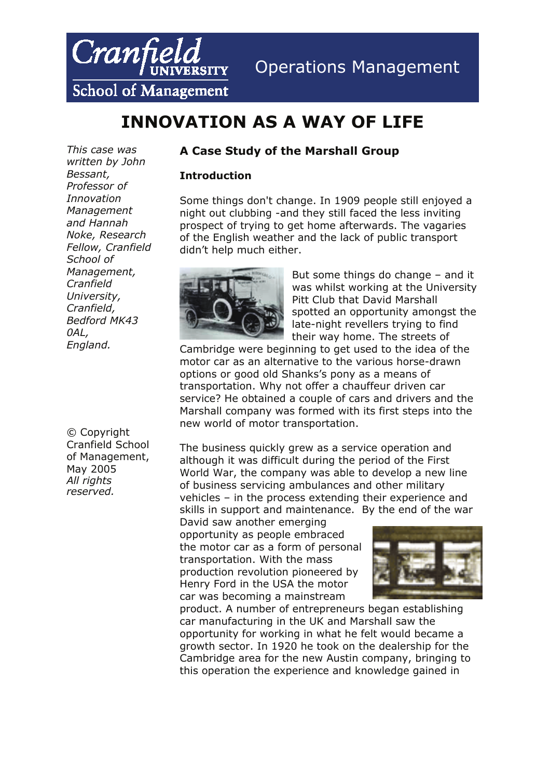

## Operations Management

**School of Management** 

# **INNOVATION AS A WAY OF LIFE**

*This case was written by John Bessant, Professor of Innovation Management and Hannah Noke, Research Fellow, Cranfield School of Management, Cranfield University, Cranfield, Bedford MK43 0AL, England.* 

© Copyright Cranfield School of Management, May 2005 *All rights reserved.* 

## **A Case Study of the Marshall Group**

### **Introduction**

Some things don't change. In 1909 people still enjoyed a night out clubbing -and they still faced the less inviting prospect of trying to get home afterwards. The vagaries of the English weather and the lack of public transport didn't help much either.



But some things do change – and it was whilst working at the University Pitt Club that David Marshall spotted an opportunity amongst the late-night revellers trying to find their way home. The streets of

Cambridge were beginning to get used to the idea of the motor car as an alternative to the various horse-drawn options or good old Shanks's pony as a means of transportation. Why not offer a chauffeur driven car service? He obtained a couple of cars and drivers and the Marshall company was formed with its first steps into the new world of motor transportation.

The business quickly grew as a service operation and although it was difficult during the period of the First World War, the company was able to develop a new line of business servicing ambulances and other military vehicles – in the process extending their experience and skills in support and maintenance. By the end of the war

David saw another emerging opportunity as people embraced the motor car as a form of personal transportation. With the mass production revolution pioneered by Henry Ford in the USA the motor car was becoming a mainstream



product. A number of entrepreneurs began establishing car manufacturing in the UK and Marshall saw the opportunity for working in what he felt would became a growth sector. In 1920 he took on the dealership for the Cambridge area for the new Austin company, bringing to this operation the experience and knowledge gained in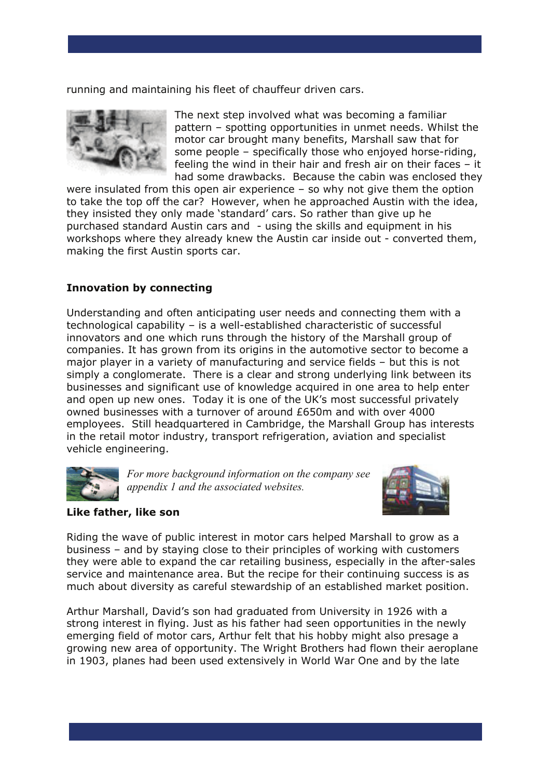running and maintaining his fleet of chauffeur driven cars.



The next step involved what was becoming a familiar pattern – spotting opportunities in unmet needs. Whilst the motor car brought many benefits, Marshall saw that for some people – specifically those who enjoyed horse-riding, feeling the wind in their hair and fresh air on their faces – it had some drawbacks. Because the cabin was enclosed they

were insulated from this open air experience – so why not give them the option to take the top off the car? However, when he approached Austin with the idea, they insisted they only made 'standard' cars. So rather than give up he purchased standard Austin cars and - using the skills and equipment in his workshops where they already knew the Austin car inside out - converted them, making the first Austin sports car.

## **Innovation by connecting**

Understanding and often anticipating user needs and connecting them with a technological capability – is a well-established characteristic of successful innovators and one which runs through the history of the Marshall group of companies. It has grown from its origins in the automotive sector to become a major player in a variety of manufacturing and service fields – but this is not simply a conglomerate. There is a clear and strong underlying link between its businesses and significant use of knowledge acquired in one area to help enter and open up new ones. Today it is one of the UK's most successful privately owned businesses with a turnover of around £650m and with over 4000 employees. Still headquartered in Cambridge, the Marshall Group has interests in the retail motor industry, transport refrigeration, aviation and specialist vehicle engineering.



*For more background information on the company see appendix 1 and the associated websites.*



#### **Like father, like son**

Riding the wave of public interest in motor cars helped Marshall to grow as a business – and by staying close to their principles of working with customers they were able to expand the car retailing business, especially in the after-sales service and maintenance area. But the recipe for their continuing success is as much about diversity as careful stewardship of an established market position.

Arthur Marshall, David's son had graduated from University in 1926 with a strong interest in flying. Just as his father had seen opportunities in the newly emerging field of motor cars, Arthur felt that his hobby might also presage a growing new area of opportunity. The Wright Brothers had flown their aeroplane in 1903, planes had been used extensively in World War One and by the late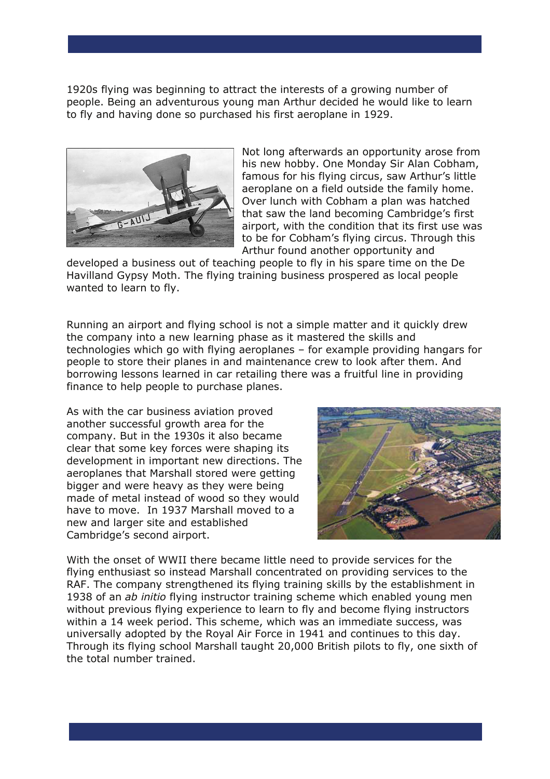1920s flying was beginning to attract the interests of a growing number of people. Being an adventurous young man Arthur decided he would like to learn to fly and having done so purchased his first aeroplane in 1929.



Not long afterwards an opportunity arose from his new hobby. One Monday Sir Alan Cobham, famous for his flying circus, saw Arthur's little aeroplane on a field outside the family home. Over lunch with Cobham a plan was hatched that saw the land becoming Cambridge's first airport, with the condition that its first use was to be for Cobham's flying circus. Through this Arthur found another opportunity and

developed a business out of teaching people to fly in his spare time on the De Havilland Gypsy Moth. The flying training business prospered as local people wanted to learn to fly.

Running an airport and flying school is not a simple matter and it quickly drew the company into a new learning phase as it mastered the skills and technologies which go with flying aeroplanes – for example providing hangars for people to store their planes in and maintenance crew to look after them. And borrowing lessons learned in car retailing there was a fruitful line in providing finance to help people to purchase planes.

As with the car business aviation proved another successful growth area for the company. But in the 1930s it also became clear that some key forces were shaping its development in important new directions. The aeroplanes that Marshall stored were getting bigger and were heavy as they were being made of metal instead of wood so they would have to move. In 1937 Marshall moved to a new and larger site and established Cambridge's second airport.



With the onset of WWII there became little need to provide services for the flying enthusiast so instead Marshall concentrated on providing services to the RAF. The company strengthened its flying training skills by the establishment in 1938 of an *ab initio* flying instructor training scheme which enabled young men without previous flying experience to learn to fly and become flying instructors within a 14 week period. This scheme, which was an immediate success, was universally adopted by the Royal Air Force in 1941 and continues to this day. Through its flying school Marshall taught 20,000 British pilots to fly, one sixth of the total number trained.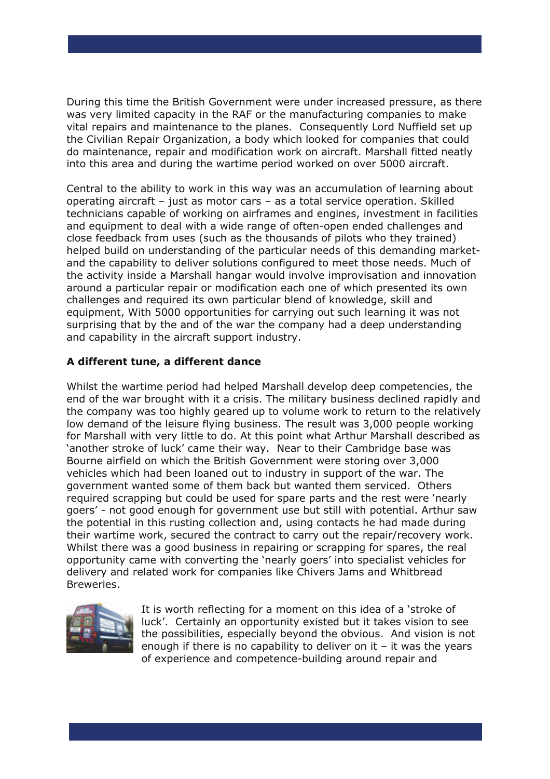During this time the British Government were under increased pressure, as there was very limited capacity in the RAF or the manufacturing companies to make vital repairs and maintenance to the planes. Consequently Lord Nuffield set up the Civilian Repair Organization, a body which looked for companies that could do maintenance, repair and modification work on aircraft. Marshall fitted neatly into this area and during the wartime period worked on over 5000 aircraft.

Central to the ability to work in this way was an accumulation of learning about operating aircraft – just as motor cars – as a total service operation. Skilled technicians capable of working on airframes and engines, investment in facilities and equipment to deal with a wide range of often-open ended challenges and close feedback from uses (such as the thousands of pilots who they trained) helped build on understanding of the particular needs of this demanding marketand the capability to deliver solutions configured to meet those needs. Much of the activity inside a Marshall hangar would involve improvisation and innovation around a particular repair or modification each one of which presented its own challenges and required its own particular blend of knowledge, skill and equipment, With 5000 opportunities for carrying out such learning it was not surprising that by the and of the war the company had a deep understanding and capability in the aircraft support industry.

## **A different tune, a different dance**

Whilst the wartime period had helped Marshall develop deep competencies, the end of the war brought with it a crisis. The military business declined rapidly and the company was too highly geared up to volume work to return to the relatively low demand of the leisure flying business. The result was 3,000 people working for Marshall with very little to do. At this point what Arthur Marshall described as 'another stroke of luck' came their way. Near to their Cambridge base was Bourne airfield on which the British Government were storing over 3,000 vehicles which had been loaned out to industry in support of the war. The government wanted some of them back but wanted them serviced. Others required scrapping but could be used for spare parts and the rest were 'nearly goers' - not good enough for government use but still with potential. Arthur saw the potential in this rusting collection and, using contacts he had made during their wartime work, secured the contract to carry out the repair/recovery work. Whilst there was a good business in repairing or scrapping for spares, the real opportunity came with converting the 'nearly goers' into specialist vehicles for delivery and related work for companies like Chivers Jams and Whitbread Breweries.



It is worth reflecting for a moment on this idea of a 'stroke of luck'. Certainly an opportunity existed but it takes vision to see the possibilities, especially beyond the obvious. And vision is not enough if there is no capability to deliver on  $it - it$  was the years of experience and competence-building around repair and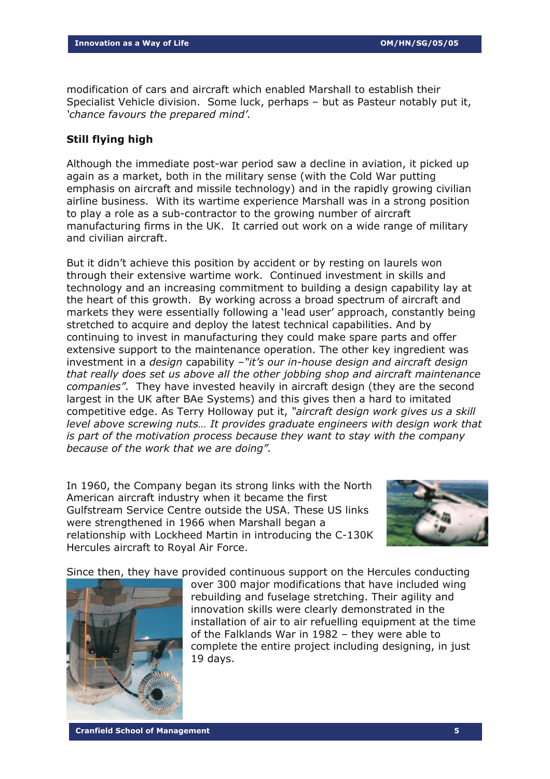modification of cars and aircraft which enabled Marshall to establish their Specialist Vehicle division. Some luck, perhaps – but as Pasteur notably put it, *'chance favours the prepared mind'.* 

#### **Still flying high**

Although the immediate post-war period saw a decline in aviation, it picked up again as a market, both in the military sense (with the Cold War putting emphasis on aircraft and missile technology) and in the rapidly growing civilian airline business. With its wartime experience Marshall was in a strong position to play a role as a sub-contractor to the growing number of aircraft manufacturing firms in the UK. It carried out work on a wide range of military and civilian aircraft.

But it didn't achieve this position by accident or by resting on laurels won through their extensive wartime work. Continued investment in skills and technology and an increasing commitment to building a design capability lay at the heart of this growth. By working across a broad spectrum of aircraft and markets they were essentially following a 'lead user' approach, constantly being stretched to acquire and deploy the latest technical capabilities. And by continuing to invest in manufacturing they could make spare parts and offer extensive support to the maintenance operation. The other key ingredient was investment in a *design* capability –*"it's our in-house design and aircraft design that really does set us above all the other jobbing shop and aircraft maintenance companies".* They have invested heavily in aircraft design (they are the second largest in the UK after BAe Systems) and this gives then a hard to imitated competitive edge. As Terry Holloway put it, *"aircraft design work gives us a skill level above screwing nuts... It provides graduate engineers with design work that is part of the motivation process because they want to stay with the company because of the work that we are doing".*

In 1960, the Company began its strong links with the North American aircraft industry when it became the first Gulfstream Service Centre outside the USA. These US links were strengthened in 1966 when Marshall began a relationship with Lockheed Martin in introducing the C-130K Hercules aircraft to Royal Air Force.



Since then, they have provided continuous support on the Hercules conducting



over 300 major modifications that have included wing rebuilding and fuselage stretching. Their agility and innovation skills were clearly demonstrated in the installation of air to air refuelling equipment at the time of the Falklands War in 1982 – they were able to complete the entire project including designing, in just 19 days.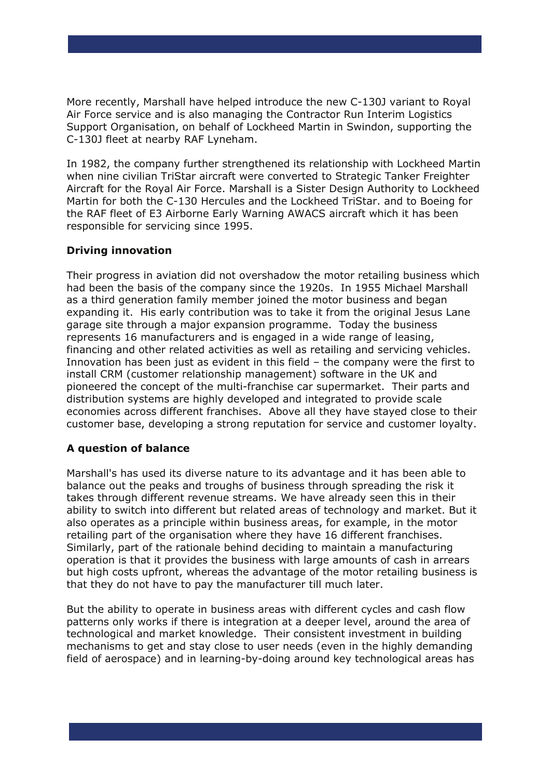More recently, Marshall have helped introduce the new C-130J variant to Royal Air Force service and is also managing the Contractor Run Interim Logistics Support Organisation, on behalf of Lockheed Martin in Swindon, supporting the C-130J fleet at nearby RAF Lyneham.

In 1982, the company further strengthened its relationship with Lockheed Martin when nine civilian TriStar aircraft were converted to Strategic Tanker Freighter Aircraft for the Royal Air Force. Marshall is a Sister Design Authority to Lockheed Martin for both the C-130 Hercules and the Lockheed TriStar. and to Boeing for the RAF fleet of E3 Airborne Early Warning AWACS aircraft which it has been responsible for servicing since 1995.

## **Driving innovation**

Their progress in aviation did not overshadow the motor retailing business which had been the basis of the company since the 1920s.In 1955 Michael Marshall as a third generation family member joined the motor business and began expanding it. His early contribution was to take it from the original Jesus Lane garage site through a major expansion programme. Today the business represents 16 manufacturers and is engaged in a wide range of leasing, financing and other related activities as well as retailing and servicing vehicles. Innovation has been just as evident in this field – the company were the first to install CRM (customer relationship management) software in the UK and pioneered the concept of the multi-franchise car supermarket. Their parts and distribution systems are highly developed and integrated to provide scale economies across different franchises. Above all they have stayed close to their customer base, developing a strong reputation for service and customer loyalty.

## **A question of balance**

Marshall's has used its diverse nature to its advantage and it has been able to balance out the peaks and troughs of business through spreading the risk it takes through different revenue streams. We have already seen this in their ability to switch into different but related areas of technology and market. But it also operates as a principle within business areas, for example, in the motor retailing part of the organisation where they have 16 different franchises. Similarly, part of the rationale behind deciding to maintain a manufacturing operation is that it provides the business with large amounts of cash in arrears but high costs upfront, whereas the advantage of the motor retailing business is that they do not have to pay the manufacturer till much later.

But the ability to operate in business areas with different cycles and cash flow patterns only works if there is integration at a deeper level, around the area of technological and market knowledge. Their consistent investment in building mechanisms to get and stay close to user needs (even in the highly demanding field of aerospace) and in learning-by-doing around key technological areas has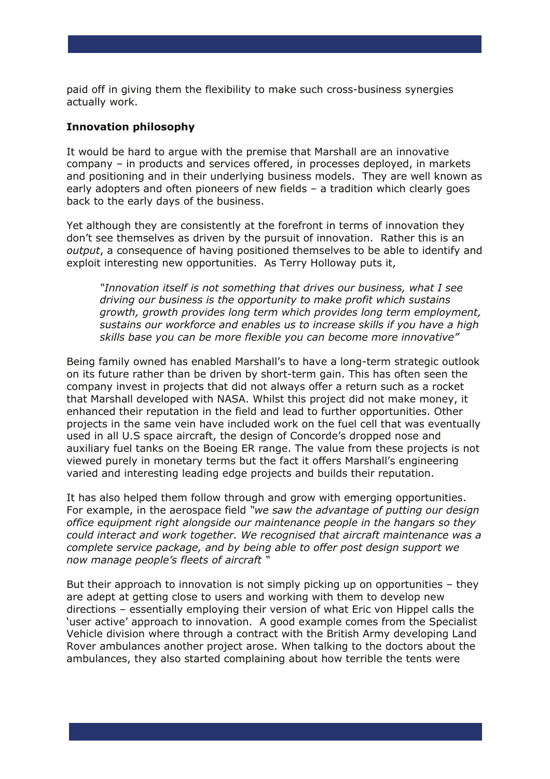paid off in giving them the flexibility to make such cross-business synergies actually work.

#### **Innovation philosophy**

It would be hard to argue with the premise that Marshall are an innovative company – in products and services offered, in processes deployed, in markets and positioning and in their underlying business models. They are well known as early adopters and often pioneers of new fields – a tradition which clearly goes back to the early days of the business.

Yet although they are consistently at the forefront in terms of innovation they don't see themselves as driven by the pursuit of innovation. Rather this is an *output*, a consequence of having positioned themselves to be able to identify and exploit interesting new opportunities. As Terry Holloway puts it,

*"Innovation itself is not something that drives our business, what I see driving our business is the opportunity to make profit which sustains growth, growth provides long term which provides long term employment, sustains our workforce and enables us to increase skills if you have a high skills base you can be more flexible you can become more innovative"* 

Being family owned has enabled Marshall's to have a long-term strategic outlook on its future rather than be driven by short-term gain. This has often seen the company invest in projects that did not always offer a return such as a rocket that Marshall developed with NASA. Whilst this project did not make money, it enhanced their reputation in the field and lead to further opportunities. Other projects in the same vein have included work on the fuel cell that was eventually used in all U.S space aircraft, the design of Concorde's dropped nose and auxiliary fuel tanks on the Boeing ER range. The value from these projects is not viewed purely in monetary terms but the fact it offers Marshall's engineering varied and interesting leading edge projects and builds their reputation.

It has also helped them follow through and grow with emerging opportunities. For example, in the aerospace field *"we saw the advantage of putting our design office equipment right alongside our maintenance people in the hangars so they could interact and work together. We recognised that aircraft maintenance was a complete service package, and by being able to offer post design support we now manage people's fleets of aircraft "* 

But their approach to innovation is not simply picking up on opportunities – they are adept at getting close to users and working with them to develop new directions – essentially employing their version of what Eric von Hippel calls the 'user active' approach to innovation. A good example comes from the Specialist Vehicle division where through a contract with the British Army developing Land Rover ambulances another project arose. When talking to the doctors about the ambulances, they also started complaining about how terrible the tents were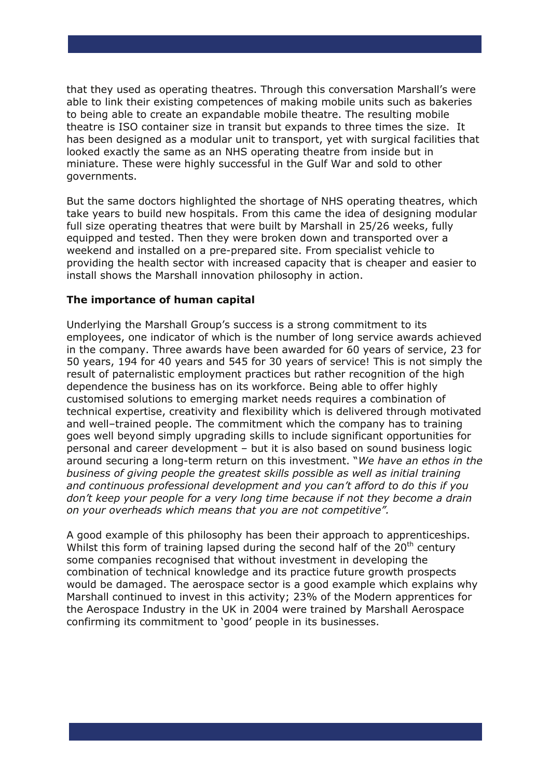that they used as operating theatres. Through this conversation Marshall's were able to link their existing competences of making mobile units such as bakeries to being able to create an expandable mobile theatre. The resulting mobile theatre is ISO container size in transit but expands to three times the size. It has been designed as a modular unit to transport, yet with surgical facilities that looked exactly the same as an NHS operating theatre from inside but in miniature. These were highly successful in the Gulf War and sold to other governments.

But the same doctors highlighted the shortage of NHS operating theatres, which take years to build new hospitals. From this came the idea of designing modular full size operating theatres that were built by Marshall in 25/26 weeks, fully equipped and tested. Then they were broken down and transported over a weekend and installed on a pre-prepared site. From specialist vehicle to providing the health sector with increased capacity that is cheaper and easier to install shows the Marshall innovation philosophy in action.

## **The importance of human capital**

Underlying the Marshall Group's success is a strong commitment to its employees, one indicator of which is the number of long service awards achieved in the company. Three awards have been awarded for 60 years of service, 23 for 50 years, 194 for 40 years and 545 for 30 years of service! This is not simply the result of paternalistic employment practices but rather recognition of the high dependence the business has on its workforce. Being able to offer highly customised solutions to emerging market needs requires a combination of technical expertise, creativity and flexibility which is delivered through motivated and well–trained people. The commitment which the company has to training goes well beyond simply upgrading skills to include significant opportunities for personal and career development – but it is also based on sound business logic around securing a long-term return on this investment. "*We have an ethos in the business of giving people the greatest skills possible as well as initial training and continuous professional development and you can't afford to do this if you don't keep your people for a very long time because if not they become a drain on your overheads which means that you are not competitive".* 

A good example of this philosophy has been their approach to apprenticeships. Whilst this form of training lapsed during the second half of the  $20<sup>th</sup>$  century some companies recognised that without investment in developing the combination of technical knowledge and its practice future growth prospects would be damaged. The aerospace sector is a good example which explains why Marshall continued to invest in this activity; 23% of the Modern apprentices for the Aerospace Industry in the UK in 2004 were trained by Marshall Aerospace confirming its commitment to 'good' people in its businesses.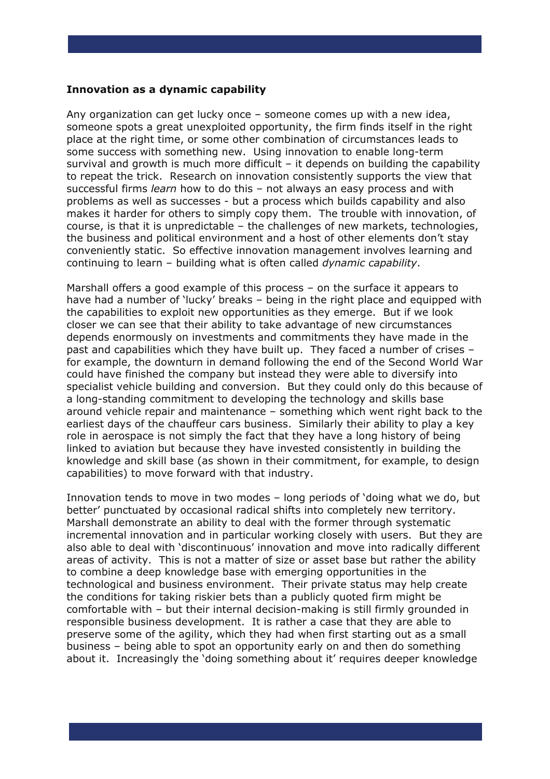#### **Innovation as a dynamic capability**

Any organization can get lucky once – someone comes up with a new idea, someone spots a great unexploited opportunity, the firm finds itself in the right place at the right time, or some other combination of circumstances leads to some success with something new. Using innovation to enable long-term survival and growth is much more difficult – it depends on building the capability to repeat the trick. Research on innovation consistently supports the view that successful firms *learn* how to do this – not always an easy process and with problems as well as successes - but a process which builds capability and also makes it harder for others to simply copy them. The trouble with innovation, of course, is that it is unpredictable – the challenges of new markets, technologies, the business and political environment and a host of other elements don't stay conveniently static. So effective innovation management involves learning and continuing to learn – building what is often called *dynamic capability*.

Marshall offers a good example of this process – on the surface it appears to have had a number of 'lucky' breaks - being in the right place and equipped with the capabilities to exploit new opportunities as they emerge. But if we look closer we can see that their ability to take advantage of new circumstances depends enormously on investments and commitments they have made in the past and capabilities which they have built up. They faced a number of crises – for example, the downturn in demand following the end of the Second World War could have finished the company but instead they were able to diversify into specialist vehicle building and conversion. But they could only do this because of a long-standing commitment to developing the technology and skills base around vehicle repair and maintenance – something which went right back to the earliest days of the chauffeur cars business. Similarly their ability to play a key role in aerospace is not simply the fact that they have a long history of being linked to aviation but because they have invested consistently in building the knowledge and skill base (as shown in their commitment, for example, to design capabilities) to move forward with that industry.

Innovation tends to move in two modes – long periods of 'doing what we do, but better' punctuated by occasional radical shifts into completely new territory. Marshall demonstrate an ability to deal with the former through systematic incremental innovation and in particular working closely with users. But they are also able to deal with 'discontinuous' innovation and move into radically different areas of activity. This is not a matter of size or asset base but rather the ability to combine a deep knowledge base with emerging opportunities in the technological and business environment. Their private status may help create the conditions for taking riskier bets than a publicly quoted firm might be comfortable with – but their internal decision-making is still firmly grounded in responsible business development. It is rather a case that they are able to preserve some of the agility, which they had when first starting out as a small business – being able to spot an opportunity early on and then do something about it. Increasingly the 'doing something about it' requires deeper knowledge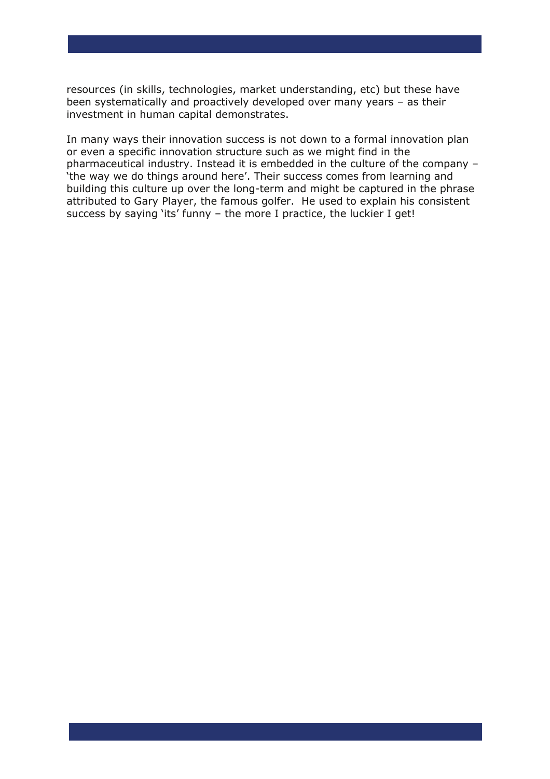resources (in skills, technologies, market understanding, etc) but these have been systematically and proactively developed over many years – as their investment in human capital demonstrates.

In many ways their innovation success is not down to a formal innovation plan or even a specific innovation structure such as we might find in the pharmaceutical industry. Instead it is embedded in the culture of the company – 'the way we do things around here'. Their success comes from learning and building this culture up over the long-term and might be captured in the phrase attributed to Gary Player, the famous golfer. He used to explain his consistent success by saying 'its' funny – the more I practice, the luckier I get!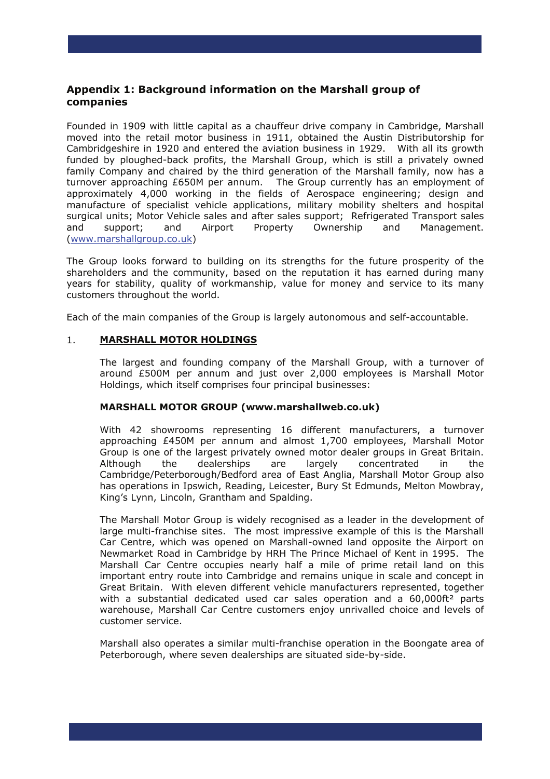## **Appendix 1: Background information on the Marshall group of companies**

Founded in 1909 with little capital as a chauffeur drive company in Cambridge, Marshall moved into the retail motor business in 1911, obtained the Austin Distributorship for Cambridgeshire in 1920 and entered the aviation business in 1929. With all its growth funded by ploughed-back profits, the Marshall Group, which is still a privately owned family Company and chaired by the third generation of the Marshall family, now has a turnover approaching £650M per annum. The Group currently has an employment of approximately 4,000 working in the fields of Aerospace engineering; design and manufacture of specialist vehicle applications, military mobility shelters and hospital surgical units; Motor Vehicle sales and after sales support; Refrigerated Transport sales and support; and Airport Property Ownership and Management. ([www.marshallgroup.co.uk\)](http://www.marshallgroup.co.uk/)

The Group looks forward to building on its strengths for the future prosperity of the shareholders and the community, based on the reputation it has earned during many years for stability, quality of workmanship, value for money and service to its many customers throughout the world.

Each of the main companies of the Group is largely autonomous and self-accountable.

#### 1. **MARSHALL MOTOR HOLDINGS**

The largest and founding company of the Marshall Group, with a turnover of around £500M per annum and just over 2,000 employees is Marshall Motor Holdings, which itself comprises four principal businesses:

#### **MARSHALL MOTOR GROUP (www.marshallweb.co.uk)**

 With 42 showrooms representing 16 different manufacturers, a turnover approaching £450M per annum and almost 1,700 employees, Marshall Motor Group is one of the largest privately owned motor dealer groups in Great Britain. Although the dealerships are largely concentrated in the Cambridge/Peterborough/Bedford area of East Anglia, Marshall Motor Group also has operations in Ipswich, Reading, Leicester, Bury St Edmunds, Melton Mowbray, King's Lynn, Lincoln, Grantham and Spalding.

 The Marshall Motor Group is widely recognised as a leader in the development of large multi-franchise sites. The most impressive example of this is the Marshall Car Centre, which was opened on Marshall-owned land opposite the Airport on Newmarket Road in Cambridge by HRH The Prince Michael of Kent in 1995. The Marshall Car Centre occupies nearly half a mile of prime retail land on this important entry route into Cambridge and remains unique in scale and concept in Great Britain. With eleven different vehicle manufacturers represented, together with a substantial dedicated used car sales operation and a 60,000ft<sup>2</sup> parts warehouse, Marshall Car Centre customers enjoy unrivalled choice and levels of customer service.

 Marshall also operates a similar multi-franchise operation in the Boongate area of Peterborough, where seven dealerships are situated side-by-side.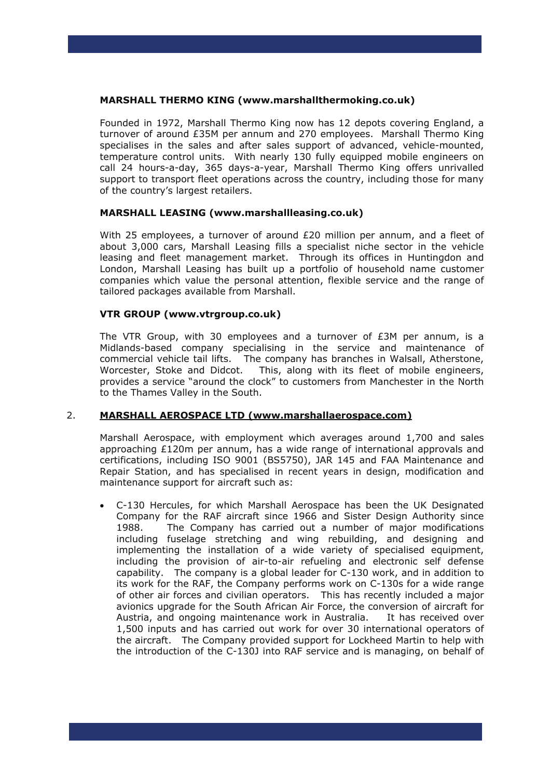#### **MARSHALL THERMO KING (www.marshallthermoking.co.uk)**

Founded in 1972, Marshall Thermo King now has 12 depots covering England, a turnover of around £35M per annum and 270 employees. Marshall Thermo King specialises in the sales and after sales support of advanced, vehicle-mounted, temperature control units. With nearly 130 fully equipped mobile engineers on call 24 hours-a-day, 365 days-a-year, Marshall Thermo King offers unrivalled support to transport fleet operations across the country, including those for many of the country's largest retailers.

#### **MARSHALL LEASING (www.marshallleasing.co.uk)**

With 25 employees, a turnover of around £20 million per annum, and a fleet of about 3,000 cars, Marshall Leasing fills a specialist niche sector in the vehicle leasing and fleet management market. Through its offices in Huntingdon and London, Marshall Leasing has built up a portfolio of household name customer companies which value the personal attention, flexible service and the range of tailored packages available from Marshall.

#### **VTR GROUP (www.vtrgroup.co.uk)**

The VTR Group, with 30 employees and a turnover of  $E3M$  per annum, is a Midlands-based company specialising in the service and maintenance of commercial vehicle tail lifts. The company has branches in Walsall, Atherstone, Worcester, Stoke and Didcot. This, along with its fleet of mobile engineers, provides a service "around the clock" to customers from Manchester in the North to the Thames Valley in the South.

#### 2. **MARSHALL AEROSPACE LTD (www.marshallaerospace.com)**

 Marshall Aerospace, with employment which averages around 1,700 and sales approaching £120m per annum, has a wide range of international approvals and certifications, including ISO 9001 (BS5750), JAR 145 and FAA Maintenance and Repair Station, and has specialised in recent years in design, modification and maintenance support for aircraft such as:

• C-130 Hercules, for which Marshall Aerospace has been the UK Designated Company for the RAF aircraft since 1966 and Sister Design Authority since 1988. The Company has carried out a number of major modifications including fuselage stretching and wing rebuilding, and designing and implementing the installation of a wide variety of specialised equipment, including the provision of air-to-air refueling and electronic self defense capability. The company is a global leader for C-130 work, and in addition to its work for the RAF, the Company performs work on C-130s for a wide range of other air forces and civilian operators. This has recently included a major avionics upgrade for the South African Air Force, the conversion of aircraft for Austria, and ongoing maintenance work in Australia. It has received over 1,500 inputs and has carried out work for over 30 international operators of the aircraft. The Company provided support for Lockheed Martin to help with the introduction of the C-130J into RAF service and is managing, on behalf of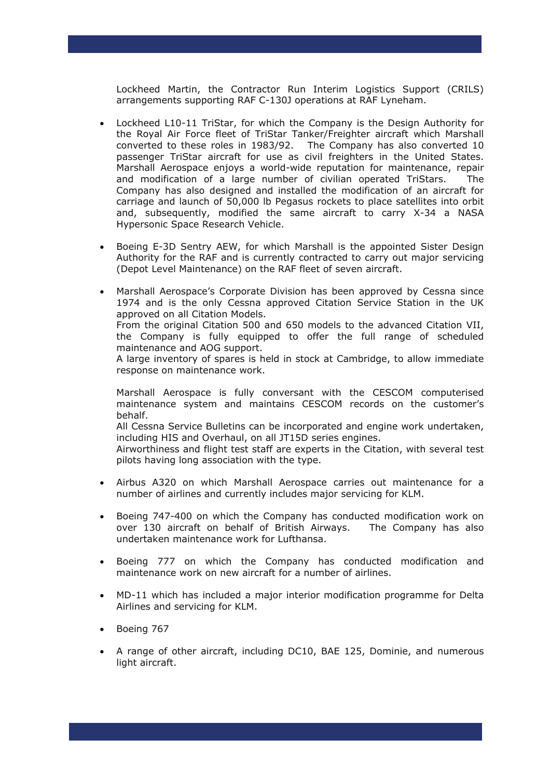Lockheed Martin, the Contractor Run Interim Logistics Support (CRILS) arrangements supporting RAF C-130J operations at RAF Lyneham.

- Lockheed L10-11 TriStar, for which the Company is the Design Authority for the Royal Air Force fleet of TriStar Tanker/Freighter aircraft which Marshall converted to these roles in 1983/92. The Company has also converted 10 passenger TriStar aircraft for use as civil freighters in the United States. Marshall Aerospace enjoys a world-wide reputation for maintenance, repair and modification of a large number of civilian operated TriStars. The Company has also designed and installed the modification of an aircraft for carriage and launch of 50,000 lb Pegasus rockets to place satellites into orbit and, subsequently, modified the same aircraft to carry X-34 a NASA Hypersonic Space Research Vehicle.
- Boeing E-3D Sentry AEW, for which Marshall is the appointed Sister Design Authority for the RAF and is currently contracted to carry out major servicing (Depot Level Maintenance) on the RAF fleet of seven aircraft.
- Marshall Aerospace's Corporate Division has been approved by Cessna since 1974 and is the only Cessna approved Citation Service Station in the UK approved on all Citation Models. From the original Citation 500 and 650 models to the advanced Citation VII, the Company is fully equipped to offer the full range of scheduled maintenance and AOG support.

A large inventory of spares is held in stock at Cambridge, to allow immediate response on maintenance work.

Marshall Aerospace is fully conversant with the CESCOM computerised maintenance system and maintains CESCOM records on the customer's behalf.

All Cessna Service Bulletins can be incorporated and engine work undertaken, including HIS and Overhaul, on all JT15D series engines.

Airworthiness and flight test staff are experts in the Citation, with several test pilots having long association with the type.

- Airbus A320 on which Marshall Aerospace carries out maintenance for a number of airlines and currently includes major servicing for KLM.
- Boeing 747-400 on which the Company has conducted modification work on over 130 aircraft on behalf of British Airways. The Company has also undertaken maintenance work for Lufthansa.
- Boeing 777 on which the Company has conducted modification and maintenance work on new aircraft for a number of airlines.
- MD-11 which has included a major interior modification programme for Delta Airlines and servicing for KLM.
- Boeing 767
- A range of other aircraft, including DC10, BAE 125, Dominie, and numerous light aircraft.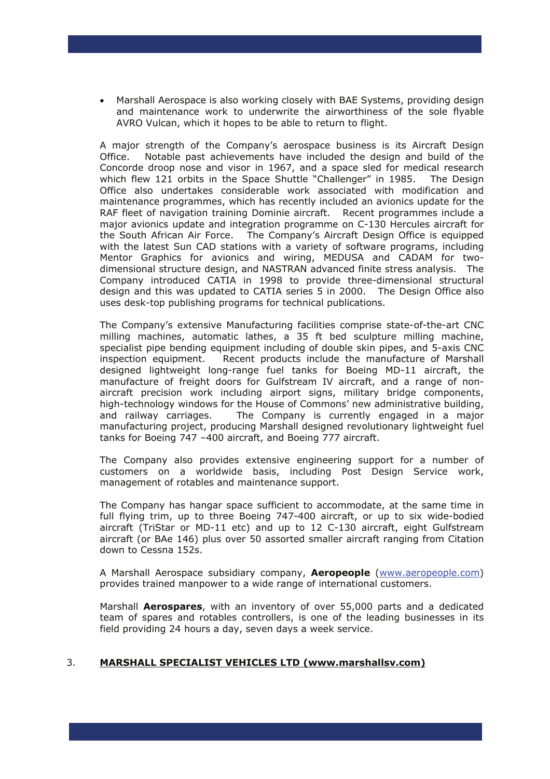• Marshall Aerospace is also working closely with BAE Systems, providing design and maintenance work to underwrite the airworthiness of the sole flyable AVRO Vulcan, which it hopes to be able to return to flight.

 A major strength of the Company's aerospace business is its Aircraft Design Office. Notable past achievements have included the design and build of the Concorde droop nose and visor in 1967, and a space sled for medical research which flew 121 orbits in the Space Shuttle "Challenger" in 1985. The Design Office also undertakes considerable work associated with modification and maintenance programmes, which has recently included an avionics update for the RAF fleet of navigation training Dominie aircraft. Recent programmes include a major avionics update and integration programme on C-130 Hercules aircraft for the South African Air Force. The Company's Aircraft Design Office is equipped with the latest Sun CAD stations with a variety of software programs, including Mentor Graphics for avionics and wiring, MEDUSA and CADAM for twodimensional structure design, and NASTRAN advanced finite stress analysis. The Company introduced CATIA in 1998 to provide three-dimensional structural design and this was updated to CATIA series 5 in 2000. The Design Office also uses desk-top publishing programs for technical publications.

 The Company's extensive Manufacturing facilities comprise state-of-the-art CNC milling machines, automatic lathes, a 35 ft bed sculpture milling machine, specialist pipe bending equipment including of double skin pipes, and 5-axis CNC inspection equipment. Recent products include the manufacture of Marshall designed lightweight long-range fuel tanks for Boeing MD-11 aircraft, the manufacture of freight doors for Gulfstream IV aircraft, and a range of nonaircraft precision work including airport signs, military bridge components, high-technology windows for the House of Commons' new administrative building, and railway carriages. The Company is currently engaged in a major manufacturing project, producing Marshall designed revolutionary lightweight fuel tanks for Boeing 747 –400 aircraft, and Boeing 777 aircraft.

 The Company also provides extensive engineering support for a number of customers on a worldwide basis, including Post Design Service work, management of rotables and maintenance support.

 The Company has hangar space sufficient to accommodate, at the same time in full flying trim, up to three Boeing 747-400 aircraft, or up to six wide-bodied aircraft (TriStar or MD-11 etc) and up to 12 C-130 aircraft, eight Gulfstream aircraft (or BAe 146) plus over 50 assorted smaller aircraft ranging from Citation down to Cessna 152s.

 A Marshall Aerospace subsidiary company, **Aeropeople** ([www.aeropeople.com\)](http://www.aeropeople.com/) provides trained manpower to a wide range of international customers.

 Marshall **Aerospares**, with an inventory of over 55,000 parts and a dedicated team of spares and rotables controllers, is one of the leading businesses in its field providing 24 hours a day, seven days a week service.

#### 3. **MARSHALL SPECIALIST VEHICLES LTD (www.marshallsv.com)**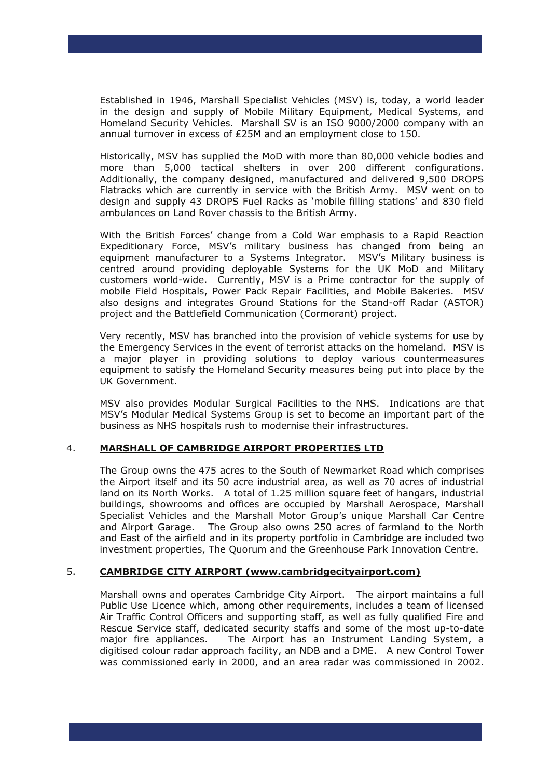Established in 1946, Marshall Specialist Vehicles (MSV) is, today, a world leader in the design and supply of Mobile Military Equipment, Medical Systems, and Homeland Security Vehicles. Marshall SV is an ISO 9000/2000 company with an annual turnover in excess of £25M and an employment close to 150.

 Historically, MSV has supplied the MoD with more than 80,000 vehicle bodies and more than 5,000 tactical shelters in over 200 different configurations. Additionally, the company designed, manufactured and delivered 9,500 DROPS Flatracks which are currently in service with the British Army. MSV went on to design and supply 43 DROPS Fuel Racks as 'mobile filling stations' and 830 field ambulances on Land Rover chassis to the British Army.

 With the British Forces' change from a Cold War emphasis to a Rapid Reaction Expeditionary Force, MSV's military business has changed from being an equipment manufacturer to a Systems Integrator. MSV's Military business is centred around providing deployable Systems for the UK MoD and Military customers world-wide. Currently, MSV is a Prime contractor for the supply of mobile Field Hospitals, Power Pack Repair Facilities, and Mobile Bakeries. MSV also designs and integrates Ground Stations for the Stand-off Radar (ASTOR) project and the Battlefield Communication (Cormorant) project.

 Very recently, MSV has branched into the provision of vehicle systems for use by the Emergency Services in the event of terrorist attacks on the homeland. MSV is a major player in providing solutions to deploy various countermeasures equipment to satisfy the Homeland Security measures being put into place by the UK Government.

 MSV also provides Modular Surgical Facilities to the NHS. Indications are that MSV's Modular Medical Systems Group is set to become an important part of the business as NHS hospitals rush to modernise their infrastructures.

#### 4. **MARSHALL OF CAMBRIDGE AIRPORT PROPERTIES LTD**

 The Group owns the 475 acres to the South of Newmarket Road which comprises the Airport itself and its 50 acre industrial area, as well as 70 acres of industrial land on its North Works. A total of 1.25 million square feet of hangars, industrial buildings, showrooms and offices are occupied by Marshall Aerospace, Marshall Specialist Vehicles and the Marshall Motor Group's unique Marshall Car Centre and Airport Garage. The Group also owns 250 acres of farmland to the North and East of the airfield and in its property portfolio in Cambridge are included two investment properties, The Quorum and the Greenhouse Park Innovation Centre.

#### 5. **CAMBRIDGE CITY AIRPORT (www.cambridgecityairport.com)**

 Marshall owns and operates Cambridge City Airport. The airport maintains a full Public Use Licence which, among other requirements, includes a team of licensed Air Traffic Control Officers and supporting staff, as well as fully qualified Fire and Rescue Service staff, dedicated security staffs and some of the most up-to-date major fire appliances. The Airport has an Instrument Landing System, a digitised colour radar approach facility, an NDB and a DME. A new Control Tower was commissioned early in 2000, and an area radar was commissioned in 2002.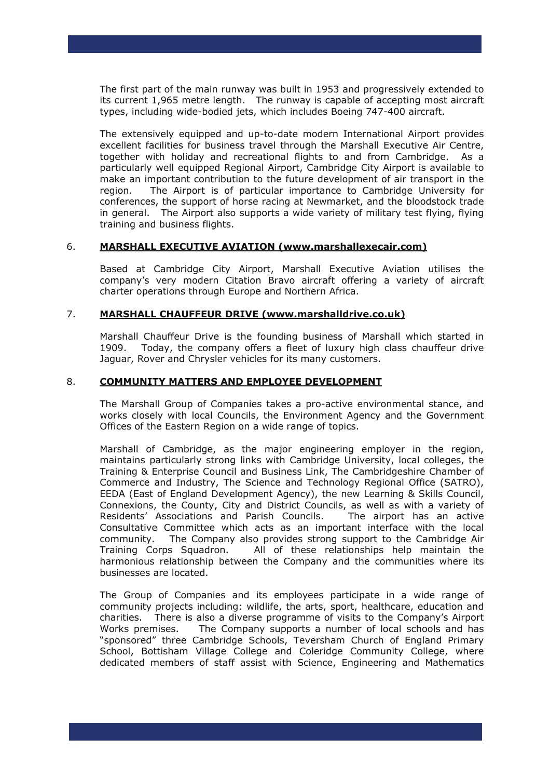The first part of the main runway was built in 1953 and progressively extended to its current 1,965 metre length. The runway is capable of accepting most aircraft types, including wide-bodied jets, which includes Boeing 747-400 aircraft.

The extensively equipped and up-to-date modern International Airport provides excellent facilities for business travel through the Marshall Executive Air Centre, together with holiday and recreational flights to and from Cambridge. As a particularly well equipped Regional Airport, Cambridge City Airport is available to make an important contribution to the future development of air transport in the region. The Airport is of particular importance to Cambridge University for conferences, the support of horse racing at Newmarket, and the bloodstock trade in general. The Airport also supports a wide variety of military test flying, flying training and business flights.

#### 6. **MARSHALL EXECUTIVE AVIATION (www.marshallexecair.com)**

 Based at Cambridge City Airport, Marshall Executive Aviation utilises the company's very modern Citation Bravo aircraft offering a variety of aircraft charter operations through Europe and Northern Africa.

#### 7. **MARSHALL CHAUFFEUR DRIVE (www.marshalldrive.co.uk)**

Marshall Chauffeur Drive is the founding business of Marshall which started in 1909. Today, the company offers a fleet of luxury high class chauffeur drive Jaguar, Rover and Chrysler vehicles for its many customers.

#### 8. **COMMUNITY MATTERS AND EMPLOYEE DEVELOPMENT**

 The Marshall Group of Companies takes a pro-active environmental stance, and works closely with local Councils, the Environment Agency and the Government Offices of the Eastern Region on a wide range of topics.

 Marshall of Cambridge, as the major engineering employer in the region, maintains particularly strong links with Cambridge University, local colleges, the Training & Enterprise Council and Business Link, The Cambridgeshire Chamber of Commerce and Industry, The Science and Technology Regional Office (SATRO), EEDA (East of England Development Agency), the new Learning & Skills Council, Connexions, the County, City and District Councils, as well as with a variety of Residents' Associations and Parish Councils. The airport has an active Consultative Committee which acts as an important interface with the local community. The Company also provides strong support to the Cambridge Air Training Corps Squadron. All of these relationships help maintain the harmonious relationship between the Company and the communities where its businesses are located.

The Group of Companies and its employees participate in a wide range of community projects including: wildlife, the arts, sport, healthcare, education and charities. There is also a diverse programme of visits to the Company's Airport Works premises. The Company supports a number of local schools and has "sponsored" three Cambridge Schools, Teversham Church of England Primary School, Bottisham Village College and Coleridge Community College, where dedicated members of staff assist with Science, Engineering and Mathematics